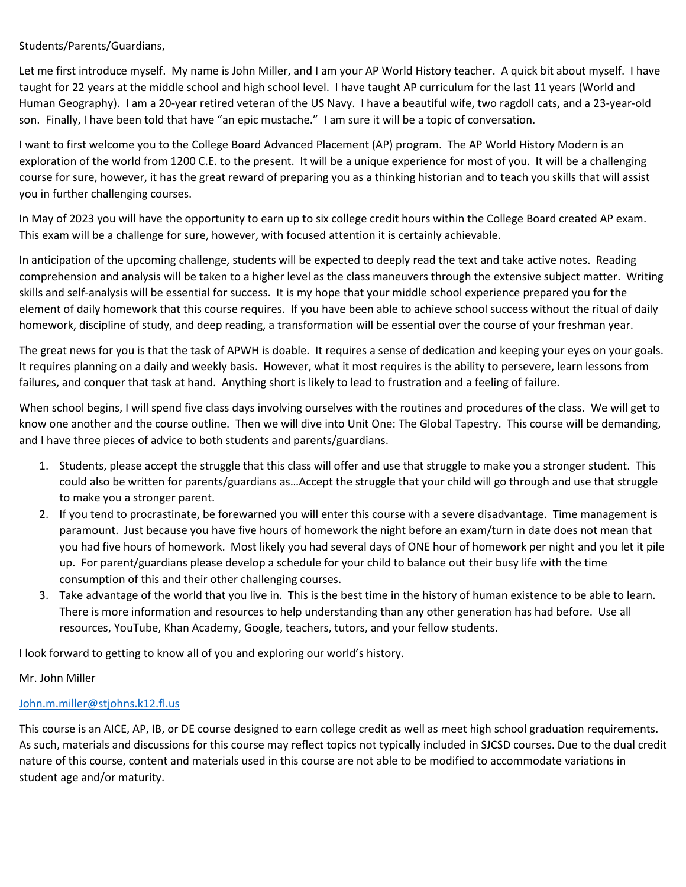Students/Parents/Guardians,

Let me first introduce myself. My name is John Miller, and I am your AP World History teacher. A quick bit about myself. I have taught for 22 years at the middle school and high school level. I have taught AP curriculum for the last 11 years (World and Human Geography). I am a 20-year retired veteran of the US Navy. I have a beautiful wife, two ragdoll cats, and a 23-year-old son. Finally, I have been told that have "an epic mustache." I am sure it will be a topic of conversation.

I want to first welcome you to the College Board Advanced Placement (AP) program. The AP World History Modern is an exploration of the world from 1200 C.E. to the present. It will be a unique experience for most of you. It will be a challenging course for sure, however, it has the great reward of preparing you as a thinking historian and to teach you skills that will assist you in further challenging courses.

In May of 2023 you will have the opportunity to earn up to six college credit hours within the College Board created AP exam. This exam will be a challenge for sure, however, with focused attention it is certainly achievable.

In anticipation of the upcoming challenge, students will be expected to deeply read the text and take active notes. Reading comprehension and analysis will be taken to a higher level as the class maneuvers through the extensive subject matter. Writing skills and self-analysis will be essential for success. It is my hope that your middle school experience prepared you for the element of daily homework that this course requires. If you have been able to achieve school success without the ritual of daily homework, discipline of study, and deep reading, a transformation will be essential over the course of your freshman year.

The great news for you is that the task of APWH is doable. It requires a sense of dedication and keeping your eyes on your goals. It requires planning on a daily and weekly basis. However, what it most requires is the ability to persevere, learn lessons from failures, and conquer that task at hand. Anything short is likely to lead to frustration and a feeling of failure.

When school begins, I will spend five class days involving ourselves with the routines and procedures of the class. We will get to know one another and the course outline. Then we will dive into Unit One: The Global Tapestry. This course will be demanding, and I have three pieces of advice to both students and parents/guardians.

- 1. Students, please accept the struggle that this class will offer and use that struggle to make you a stronger student. This could also be written for parents/guardians as…Accept the struggle that your child will go through and use that struggle to make you a stronger parent.
- 2. If you tend to procrastinate, be forewarned you will enter this course with a severe disadvantage. Time management is paramount. Just because you have five hours of homework the night before an exam/turn in date does not mean that you had five hours of homework. Most likely you had several days of ONE hour of homework per night and you let it pile up. For parent/guardians please develop a schedule for your child to balance out their busy life with the time consumption of this and their other challenging courses.
- 3. Take advantage of the world that you live in. This is the best time in the history of human existence to be able to learn. There is more information and resources to help understanding than any other generation has had before. Use all resources, YouTube, Khan Academy, Google, teachers, tutors, and your fellow students.

I look forward to getting to know all of you and exploring our world's history.

### Mr. John Miller

## [John.m.miller@stjohns.k12.fl.us](mailto:John.m.miller@stjohns.k12.fl.us)

This course is an AICE, AP, IB, or DE course designed to earn college credit as well as meet high school graduation requirements. As such, materials and discussions for this course may reflect topics not typically included in SJCSD courses. Due to the dual credit nature of this course, content and materials used in this course are not able to be modified to accommodate variations in student age and/or maturity.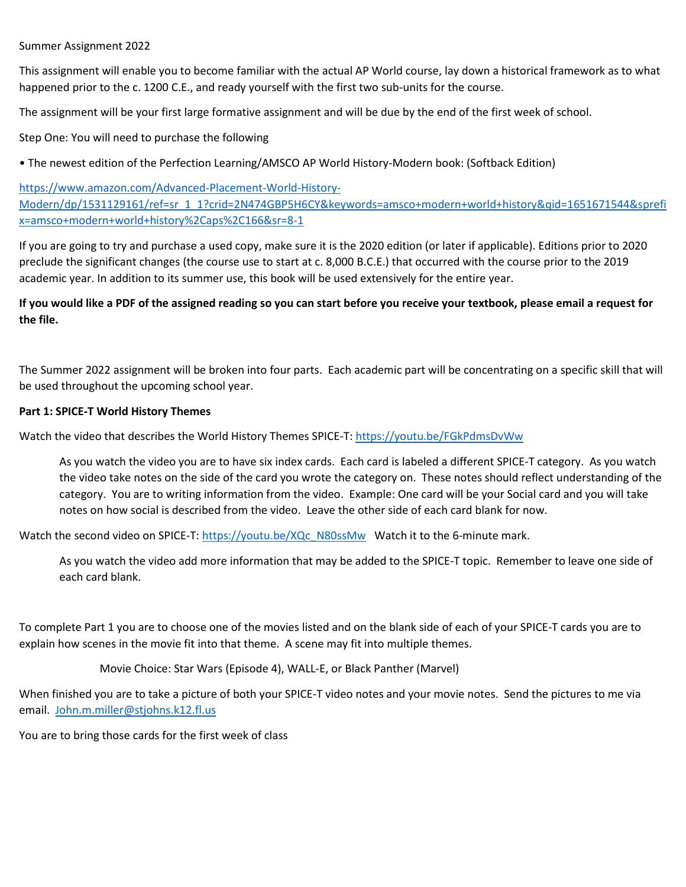#### Summer Assignment 2022

This assignment will enable you to become familiar with the actual AP World course, lay down a historical framework as to what happened prior to the c. 1200 C.E., and ready yourself with the first two sub-units for the course.

The assignment will be your first large formative assignment and will be due by the end of the first week of school.

Step One: You will need to purchase the following

• The newest edition of the Perfection Learning/AMSCO AP World History-Modern book: (Softback Edition)

[https://www.amazon.com/Advanced-Placement-World-History-](https://www.amazon.com/Advanced-Placement-World-History-Modern/dp/1531129161/ref=sr_1_1?crid=2N474GBP5H6CY&keywords=amsco+modern+world+history&qid=1651671544&sprefix=amsco+modern+world+history%2Caps%2C166&sr=8-1)[Modern/dp/1531129161/ref=sr\\_1\\_1?crid=2N474GBP5H6CY&keywords=amsco+modern+world+history&qid=1651671544&sprefi](https://www.amazon.com/Advanced-Placement-World-History-Modern/dp/1531129161/ref=sr_1_1?crid=2N474GBP5H6CY&keywords=amsco+modern+world+history&qid=1651671544&sprefix=amsco+modern+world+history%2Caps%2C166&sr=8-1) [x=amsco+modern+world+history%2Caps%2C166&sr=8-1](https://www.amazon.com/Advanced-Placement-World-History-Modern/dp/1531129161/ref=sr_1_1?crid=2N474GBP5H6CY&keywords=amsco+modern+world+history&qid=1651671544&sprefix=amsco+modern+world+history%2Caps%2C166&sr=8-1)

If you are going to try and purchase a used copy, make sure it is the 2020 edition (or later if applicable). Editions prior to 2020 preclude the significant changes (the course use to start at c. 8,000 B.C.E.) that occurred with the course prior to the 2019 academic year. In addition to its summer use, this book will be used extensively for the entire year.

### **If you would like a PDF of the assigned reading so you can start before you receive your textbook, please email a request for the file.**

The Summer 2022 assignment will be broken into four parts. Each academic part will be concentrating on a specific skill that will be used throughout the upcoming school year.

#### **Part 1: SPICE-T World History Themes**

Watch the video that describes the World History Themes SPICE-T[: https://youtu.be/FGkPdmsDvWw](https://youtu.be/FGkPdmsDvWw)

As you watch the video you are to have six index cards. Each card is labeled a different SPICE-T category. As you watch the video take notes on the side of the card you wrote the category on. These notes should reflect understanding of the category. You are to writing information from the video. Example: One card will be your Social card and you will take notes on how social is described from the video. Leave the other side of each card blank for now.

Watch the second video on SPICE-T: [https://youtu.be/XQc\\_N80ssMw](https://youtu.be/XQc_N80ssMw) Watch it to the 6-minute mark.

As you watch the video add more information that may be added to the SPICE-T topic. Remember to leave one side of each card blank.

To complete Part 1 you are to choose one of the movies listed and on the blank side of each of your SPICE-T cards you are to explain how scenes in the movie fit into that theme. A scene may fit into multiple themes.

Movie Choice: Star Wars (Episode 4), WALL-E, or Black Panther (Marvel)

When finished you are to take a picture of both your SPICE-T video notes and your movie notes. Send the pictures to me via email. [John.m.miller@stjohns.k12.fl.us](mailto:John.m.miller@stjohns.k12.fl.us)

You are to bring those cards for the first week of class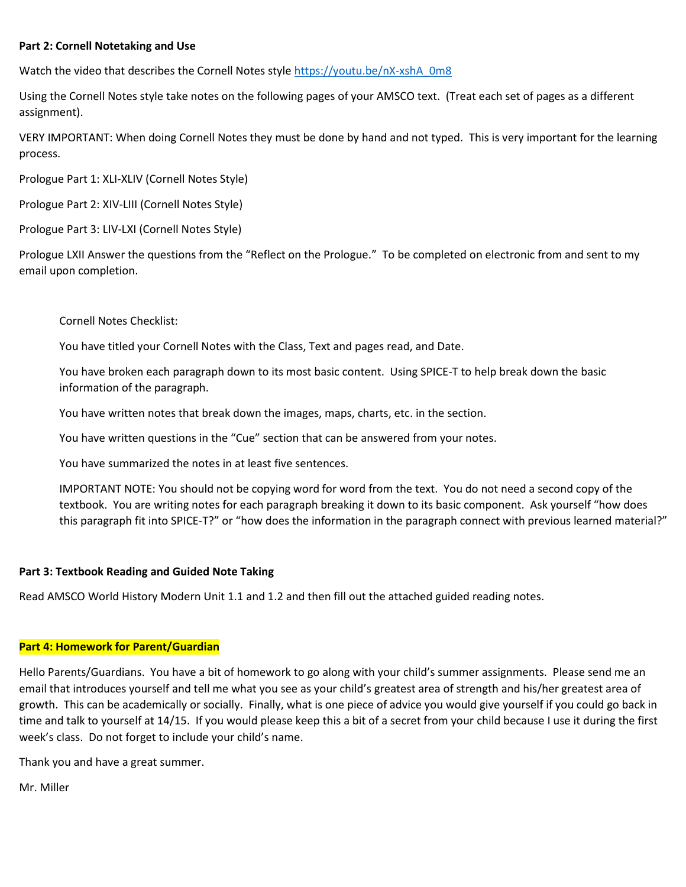#### **Part 2: Cornell Notetaking and Use**

Watch the video that describes the Cornell Notes styl[e https://youtu.be/nX-xshA\\_0m8](https://youtu.be/nX-xshA_0m8)

Using the Cornell Notes style take notes on the following pages of your AMSCO text. (Treat each set of pages as a different assignment).

VERY IMPORTANT: When doing Cornell Notes they must be done by hand and not typed. This is very important for the learning process.

Prologue Part 1: XLI-XLIV (Cornell Notes Style)

Prologue Part 2: XIV-LIII (Cornell Notes Style)

Prologue Part 3: LIV-LXI (Cornell Notes Style)

Prologue LXII Answer the questions from the "Reflect on the Prologue." To be completed on electronic from and sent to my email upon completion.

Cornell Notes Checklist:

You have titled your Cornell Notes with the Class, Text and pages read, and Date.

You have broken each paragraph down to its most basic content. Using SPICE-T to help break down the basic information of the paragraph.

You have written notes that break down the images, maps, charts, etc. in the section.

You have written questions in the "Cue" section that can be answered from your notes.

You have summarized the notes in at least five sentences.

IMPORTANT NOTE: You should not be copying word for word from the text. You do not need a second copy of the textbook. You are writing notes for each paragraph breaking it down to its basic component. Ask yourself "how does this paragraph fit into SPICE-T?" or "how does the information in the paragraph connect with previous learned material?"

#### **Part 3: Textbook Reading and Guided Note Taking**

Read AMSCO World History Modern Unit 1.1 and 1.2 and then fill out the attached guided reading notes.

#### **Part 4: Homework for Parent/Guardian**

Hello Parents/Guardians. You have a bit of homework to go along with your child's summer assignments. Please send me an email that introduces yourself and tell me what you see as your child's greatest area of strength and his/her greatest area of growth. This can be academically or socially. Finally, what is one piece of advice you would give yourself if you could go back in time and talk to yourself at 14/15. If you would please keep this a bit of a secret from your child because I use it during the first week's class. Do not forget to include your child's name.

Thank you and have a great summer.

Mr. Miller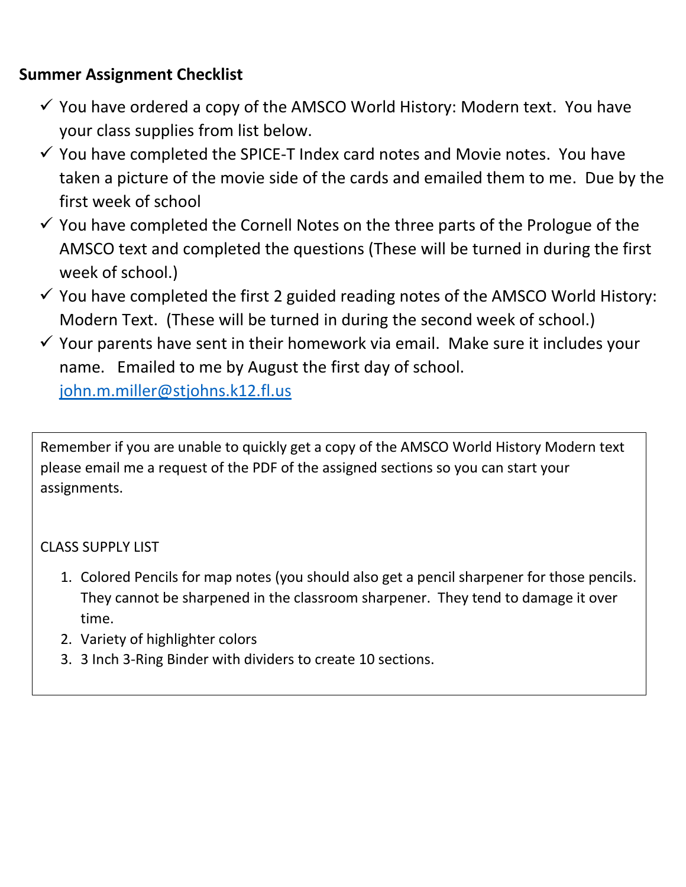# **Summer Assignment Checklist**

- $\checkmark$  You have ordered a copy of the AMSCO World History: Modern text. You have your class supplies from list below.
- $\checkmark$  You have completed the SPICE-T Index card notes and Movie notes. You have taken a picture of the movie side of the cards and emailed them to me. Due by the first week of school
- $\checkmark$  You have completed the Cornell Notes on the three parts of the Prologue of the AMSCO text and completed the questions (These will be turned in during the first week of school.)
- $\checkmark$  You have completed the first 2 guided reading notes of the AMSCO World History: Modern Text. (These will be turned in during the second week of school.)
- $\checkmark$  Your parents have sent in their homework via email. Make sure it includes your name. Emailed to me by August the first day of school. [john.m.miller@stjohns.k12.fl.us](mailto:john.m.miller@stjohns.k12.fl.us)

Remember if you are unable to quickly get a copy of the AMSCO World History Modern text please email me a request of the PDF of the assigned sections so you can start your assignments.

## CLASS SUPPLY LIST

- 1. Colored Pencils for map notes (you should also get a pencil sharpener for those pencils. They cannot be sharpened in the classroom sharpener. They tend to damage it over time.
- 2. Variety of highlighter colors
- 3. 3 Inch 3-Ring Binder with dividers to create 10 sections.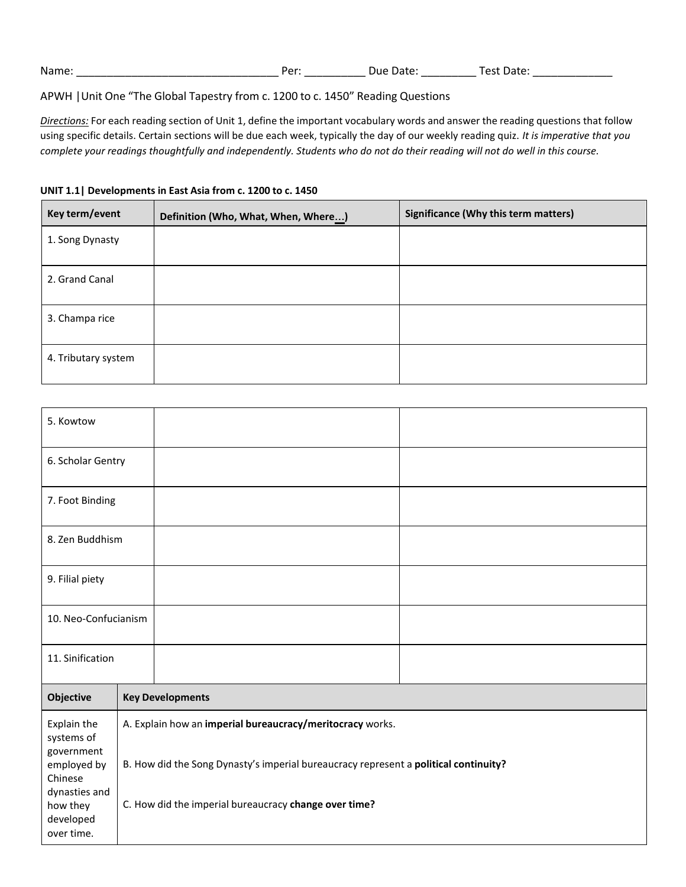| Name: | Per | ` Date.<br>Due | ہ+ددا<br>∩ct−<br>. Jdlt.<br>$-1$ . |
|-------|-----|----------------|------------------------------------|
|       |     |                |                                    |

#### APWH |Unit One "The Global Tapestry from c. 1200 to c. 1450" Reading Questions

*Directions:* For each reading section of Unit 1, define the important vocabulary words and answer the reading questions that follow using specific details. Certain sections will be due each week, typically the day of our weekly reading quiz. *It is imperative that you* complete your readings thoughtfully and independently. Students who do not do their reading will not do well in this course.

| Key term/event      | Definition (Who, What, When, Where) | <b>Significance (Why this term matters)</b> |
|---------------------|-------------------------------------|---------------------------------------------|
| 1. Song Dynasty     |                                     |                                             |
| 2. Grand Canal      |                                     |                                             |
| 3. Champa rice      |                                     |                                             |
| 4. Tributary system |                                     |                                             |

 $\top$ 

٦

#### **UNIT 1.1| Developments in East Asia from c. 1200 to c. 1450**

| 5. Kowtow                                                         |                                                                                                                                                   |  |
|-------------------------------------------------------------------|---------------------------------------------------------------------------------------------------------------------------------------------------|--|
| 6. Scholar Gentry                                                 |                                                                                                                                                   |  |
| 7. Foot Binding                                                   |                                                                                                                                                   |  |
| 8. Zen Buddhism                                                   |                                                                                                                                                   |  |
| 9. Filial piety                                                   |                                                                                                                                                   |  |
| 10. Neo-Confucianism                                              |                                                                                                                                                   |  |
| 11. Sinification                                                  |                                                                                                                                                   |  |
| Objective                                                         | <b>Key Developments</b>                                                                                                                           |  |
| Explain the<br>systems of<br>government<br>employed by<br>Chinese | A. Explain how an imperial bureaucracy/meritocracy works.<br>B. How did the Song Dynasty's imperial bureaucracy represent a political continuity? |  |
| dynasties and<br>how they<br>developed<br>over time.              | C. How did the imperial bureaucracy change over time?                                                                                             |  |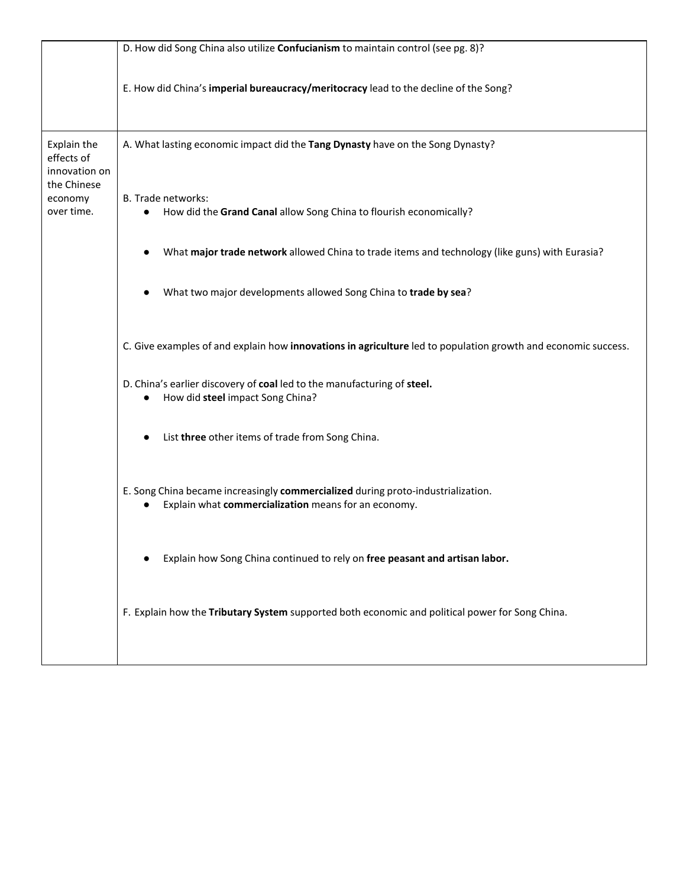|                                                           | D. How did Song China also utilize Confucianism to maintain control (see pg. 8)?                                                         |
|-----------------------------------------------------------|------------------------------------------------------------------------------------------------------------------------------------------|
|                                                           | E. How did China's imperial bureaucracy/meritocracy lead to the decline of the Song?                                                     |
| Explain the<br>effects of<br>innovation on<br>the Chinese | A. What lasting economic impact did the Tang Dynasty have on the Song Dynasty?                                                           |
| economy<br>over time.                                     | <b>B.</b> Trade networks:<br>How did the Grand Canal allow Song China to flourish economically?<br>$\bullet$                             |
|                                                           | What major trade network allowed China to trade items and technology (like guns) with Eurasia?                                           |
|                                                           | What two major developments allowed Song China to trade by sea?                                                                          |
|                                                           | C. Give examples of and explain how innovations in agriculture led to population growth and economic success.                            |
|                                                           | D. China's earlier discovery of coal led to the manufacturing of steel.<br>How did steel impact Song China?                              |
|                                                           | List three other items of trade from Song China.                                                                                         |
|                                                           | E. Song China became increasingly commercialized during proto-industrialization.<br>Explain what commercialization means for an economy. |
|                                                           | Explain how Song China continued to rely on free peasant and artisan labor.                                                              |
|                                                           | F. Explain how the Tributary System supported both economic and political power for Song China.                                          |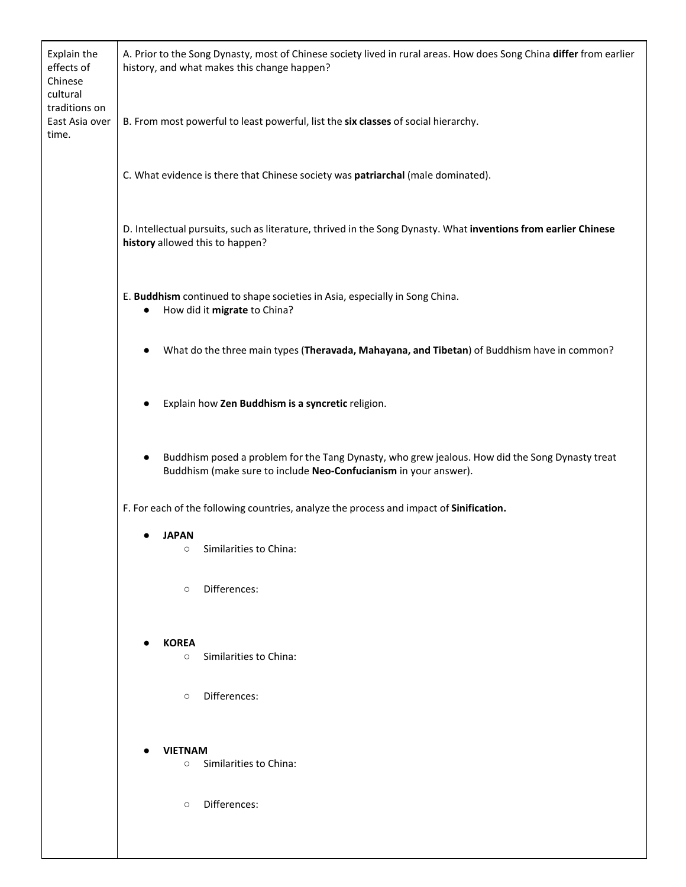| Explain the<br>effects of<br>Chinese<br>cultural<br>traditions on | A. Prior to the Song Dynasty, most of Chinese society lived in rural areas. How does Song China differ from earlier<br>history, and what makes this change happen?               |  |
|-------------------------------------------------------------------|----------------------------------------------------------------------------------------------------------------------------------------------------------------------------------|--|
| East Asia over<br>time.                                           | B. From most powerful to least powerful, list the six classes of social hierarchy.                                                                                               |  |
|                                                                   | C. What evidence is there that Chinese society was patriarchal (male dominated).                                                                                                 |  |
|                                                                   | D. Intellectual pursuits, such as literature, thrived in the Song Dynasty. What inventions from earlier Chinese<br>history allowed this to happen?                               |  |
|                                                                   | E. Buddhism continued to shape societies in Asia, especially in Song China.<br>How did it migrate to China?                                                                      |  |
|                                                                   | What do the three main types (Theravada, Mahayana, and Tibetan) of Buddhism have in common?<br>$\bullet$                                                                         |  |
|                                                                   | Explain how Zen Buddhism is a syncretic religion.                                                                                                                                |  |
|                                                                   | Buddhism posed a problem for the Tang Dynasty, who grew jealous. How did the Song Dynasty treat<br>$\bullet$<br>Buddhism (make sure to include Neo-Confucianism in your answer). |  |
|                                                                   | F. For each of the following countries, analyze the process and impact of Sinification.                                                                                          |  |
|                                                                   | <b>JAPAN</b><br>$\bullet$<br>Similarities to China:<br>$\circ$                                                                                                                   |  |
|                                                                   | Differences:<br>$\circ$                                                                                                                                                          |  |
|                                                                   | <b>KOREA</b><br>Similarities to China:<br>$\circ$                                                                                                                                |  |
|                                                                   | Differences:<br>$\circ$                                                                                                                                                          |  |
|                                                                   | <b>VIETNAM</b>                                                                                                                                                                   |  |
|                                                                   | ○ Similarities to China:                                                                                                                                                         |  |
|                                                                   | Differences:<br>$\circ$                                                                                                                                                          |  |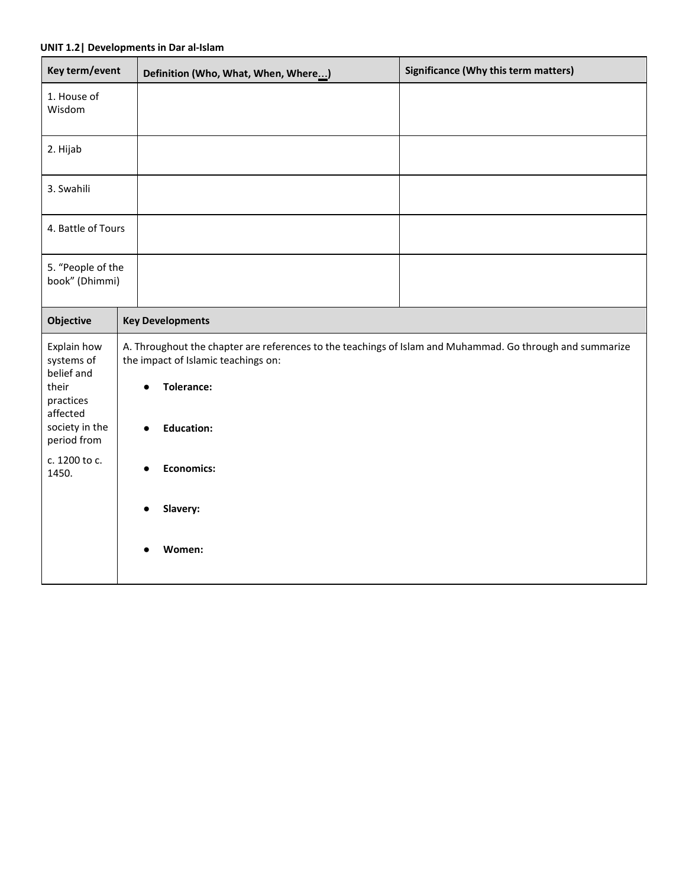#### **UNIT 1.2| Developments in Dar al-Islam**

| Key term/event                                                                              | Definition (Who, What, When, Where)                                                                                                                                                                                  | <b>Significance (Why this term matters)</b> |  |
|---------------------------------------------------------------------------------------------|----------------------------------------------------------------------------------------------------------------------------------------------------------------------------------------------------------------------|---------------------------------------------|--|
| 1. House of<br>Wisdom                                                                       |                                                                                                                                                                                                                      |                                             |  |
| 2. Hijab                                                                                    |                                                                                                                                                                                                                      |                                             |  |
| 3. Swahili                                                                                  |                                                                                                                                                                                                                      |                                             |  |
| 4. Battle of Tours                                                                          |                                                                                                                                                                                                                      |                                             |  |
| 5. "People of the<br>book" (Dhimmi)                                                         |                                                                                                                                                                                                                      |                                             |  |
| <b>Objective</b>                                                                            | <b>Key Developments</b>                                                                                                                                                                                              |                                             |  |
| Explain how<br>systems of<br>belief and<br>their<br>practices<br>affected<br>society in the | A. Throughout the chapter are references to the teachings of Islam and Muhammad. Go through and summarize<br>the impact of Islamic teachings on:<br><b>Tolerance:</b><br>$\bullet$<br><b>Education:</b><br>$\bullet$ |                                             |  |
| period from<br>c. 1200 to c.<br>1450.                                                       | <b>Economics:</b>                                                                                                                                                                                                    |                                             |  |
|                                                                                             | Slavery:                                                                                                                                                                                                             |                                             |  |
|                                                                                             | Women:                                                                                                                                                                                                               |                                             |  |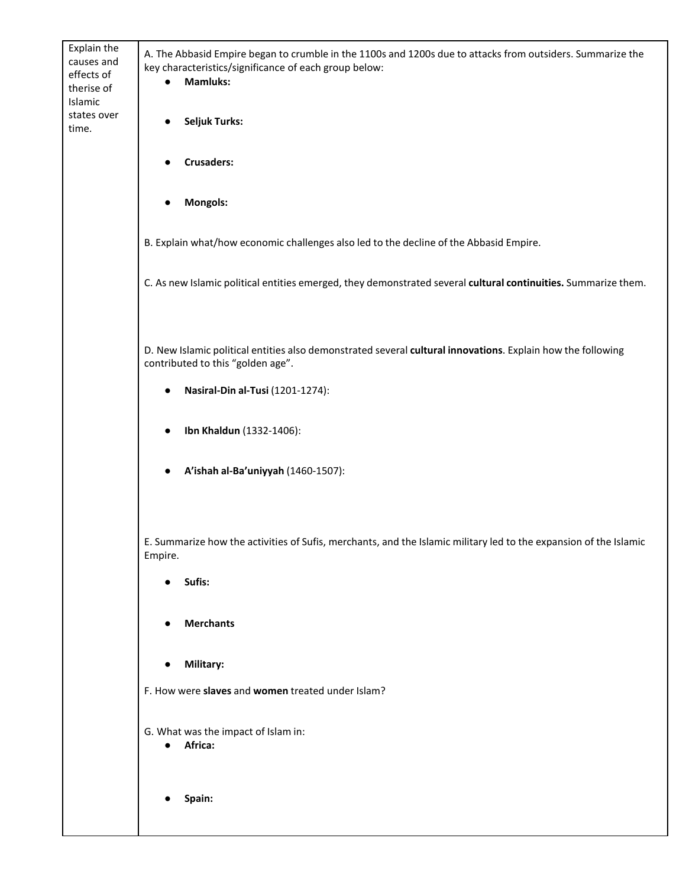| Explain the<br>causes and<br>effects of<br>therise of<br>Islamic | A. The Abbasid Empire began to crumble in the 1100s and 1200s due to attacks from outsiders. Summarize the<br>key characteristics/significance of each group below:<br><b>Mamluks:</b> |
|------------------------------------------------------------------|----------------------------------------------------------------------------------------------------------------------------------------------------------------------------------------|
| states over<br>time.                                             | <b>Seljuk Turks:</b>                                                                                                                                                                   |
|                                                                  | <b>Crusaders:</b>                                                                                                                                                                      |
|                                                                  | <b>Mongols:</b>                                                                                                                                                                        |
|                                                                  | B. Explain what/how economic challenges also led to the decline of the Abbasid Empire.                                                                                                 |
|                                                                  | C. As new Islamic political entities emerged, they demonstrated several cultural continuities. Summarize them.                                                                         |
|                                                                  |                                                                                                                                                                                        |
|                                                                  | D. New Islamic political entities also demonstrated several cultural innovations. Explain how the following<br>contributed to this "golden age".                                       |
|                                                                  | Nasiral-Din al-Tusi (1201-1274):                                                                                                                                                       |
|                                                                  | Ibn Khaldun (1332-1406):                                                                                                                                                               |
|                                                                  | A'ishah al-Ba'uniyyah (1460-1507):                                                                                                                                                     |
|                                                                  |                                                                                                                                                                                        |
|                                                                  | E. Summarize how the activities of Sufis, merchants, and the Islamic military led to the expansion of the Islamic<br>Empire.                                                           |
|                                                                  | Sufis:                                                                                                                                                                                 |
|                                                                  | <b>Merchants</b>                                                                                                                                                                       |
|                                                                  | Military:                                                                                                                                                                              |
|                                                                  | F. How were slaves and women treated under Islam?                                                                                                                                      |
|                                                                  | G. What was the impact of Islam in:<br>Africa:<br>$\bullet$                                                                                                                            |
|                                                                  | Spain:                                                                                                                                                                                 |